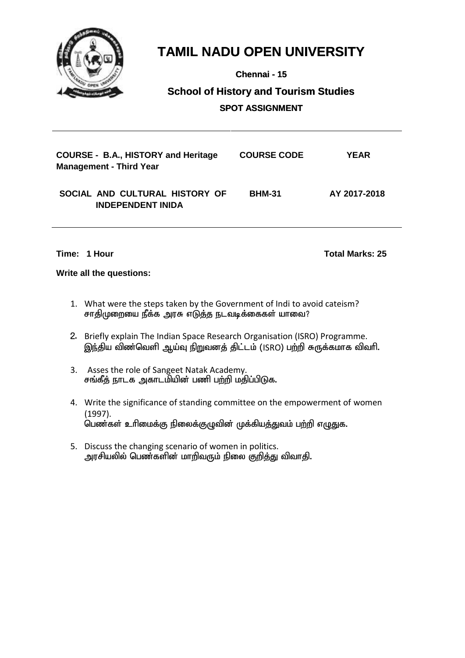

**Chennai - 15**

### **School of History and Tourism Studies and Tourism SPOT ASSIGNMENT**

| <b>COURSE - B.A., HISTORY and Heritage</b><br><b>Management - Third Year</b> | <b>COURSE CODE</b> | YEAR         |
|------------------------------------------------------------------------------|--------------------|--------------|
| SOCIAL AND CULTURAL HISTORY OF<br><b>INDEPENDENT INIDA</b>                   | <b>BHM-31</b>      | AY 2017-2018 |

**Time: 1 Hour Total Marks: 25**

- 1. What were the steps taken by the Government of Indi to avoid cateism? சாதிமுறையை நீக்க அரசு எடுத்த நடவடிக்கைகள் யாவை?
- 2. Briefly explain The Indian Space Research Organisation (ISRO) Programme. இந்திய விண்வெளி ஆய்வு நிறுவனத் திட்டம் (ISRO) பற்றி சுருக்கமாக விவரி.
- 3. Asses the role of Sangeet Natak Academy. சங்கீத் நாடக அகாடமியின் பணி பற்றி மதிப்பிடுக.
- 4. Write the significance of standing committee on the empowerment of women (1997). .<br>பெண்கள் உரிமைக்கு நிலைக்குழுவின் முக்கியத்துவம் பற்றி எழுதுக.
- 5. Discuss the changing scenario of women in politics. அரசியலில் பெண்களின் மாறிவரும் நிலை குறித்து விவாதி.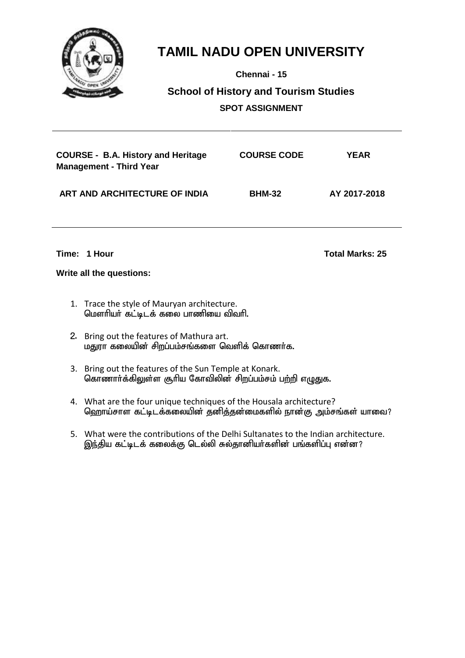

**Chennai - 15**

## **School of History and Tourism Studies SPOT ASSIGNMENT**

| <b>COURSE - B.A. History and Heritage</b><br><b>Management - Third Year</b> | <b>COURSE CODE</b> | <b>YEAR</b>  |
|-----------------------------------------------------------------------------|--------------------|--------------|
| ART AND ARCHITECTURE OF INDIA                                               | <b>BHM-32</b>      | AY 2017-2018 |

**Time: 1 Hour Total Marks: 25**

- 1. Trace the style of Mauryan architecture. மௌரியர் கட்டிடக் கலை பாணியை விவரி.
- 2. Bring out the features of Mathura art. மதுரா கலையின் சிறப்பம்சங்களை வெளிக் கொணர்க.
- 3. Bring out the features of the Sun Temple at Konark. கொணார்க்கிலுள்ள சூரிய கோவிலின் சிறப்பம்சம் பற்றி எழுதுக.
- 4. What are the four unique techniques of the Housala architecture? ஹொய்சாள கட்டிடக்கலையின் தனித்தன்மைகளில் நான்கு அம்சங்கள் யாவை?
- 5. What were the contributions of the Delhi Sultanates to the Indian architecture. இந்திய கட்டிடக் கலைக்கு டெல்லி சுல்தானியர்களின் பங்களிப்பு என்ன?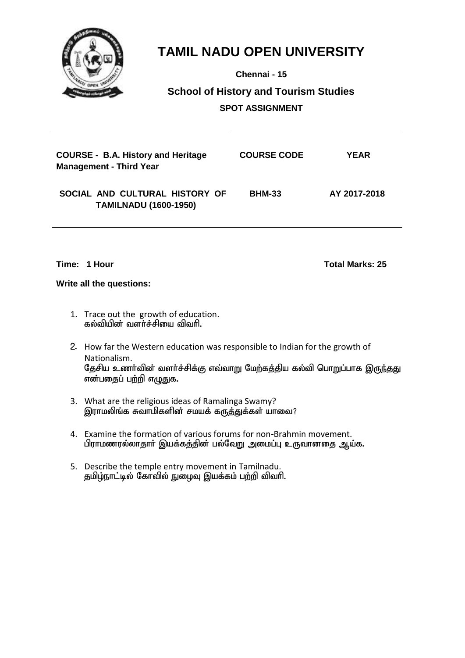

**Chennai - 15**

## **School of History and Tourism Studies SPOT ASSIGNMENT**

| <b>COURSE - B.A. History and Heritage</b><br><b>Management - Third Year</b> | <b>COURSE CODE</b> | <b>YEAR</b>  |
|-----------------------------------------------------------------------------|--------------------|--------------|
| SOCIAL AND CULTURAL HISTORY OF<br><b>TAMILNADU (1600-1950)</b>              | <b>BHM-33</b>      | AY 2017-2018 |

**Time: 1 Hour Total Marks: 25**

- 1. Trace out the growth of education. கல்வியின் வளர்ச்சியை விவரி.
- 2. How far the Western education was responsible to Indian for the growth of Nationalism. தேசிய உணர்வின் வளர்ச்சிக்கு எவ்வாறு மேற்கத்திய கல்வி பொறுப்பாக இருந்தது என்பதைப் பற்றி எழுதுக.
- 3. What are the religious ideas of Ramalinga Swamy? இராமலிங்க சுவாமிகளின் சமயக் கருத்துக்கள் யாவை?
- 4. Examine the formation of various forums for non-Brahmin movement. பிராமணரல்லாதாா் இயக்கத்தின் பல்வேறு அமைப்பு உருவானதை ஆய்க.
- 5. Describe the temple entry movement in Tamilnadu. தமிழ்நாட்டில் கோவில் நுழைவு இயக்கம் பற்றி விவரி.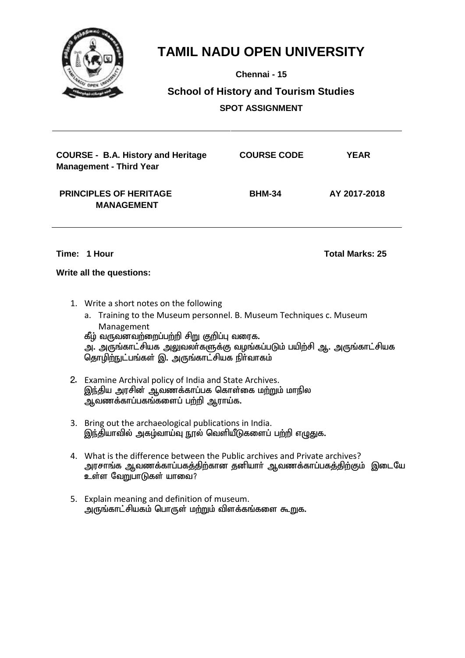

**Chennai - 15**

## **School of History and Tourism Studies SPOT ASSIGNMENT**

| <b>COURSE - B.A. History and Heritage</b><br><b>Management - Third Year</b> | <b>COURSE CODE</b> | <b>YEAR</b>  |
|-----------------------------------------------------------------------------|--------------------|--------------|
| <b>PRINCIPLES OF HERITAGE</b><br><b>MANAGEMENT</b>                          | <b>BHM-34</b>      | AY 2017-2018 |

**Time: 1 Hour Total Marks: 25**

- 1. Write a short notes on the following
	- a. Training to the Museum personnel. B. Museum Techniques c. Museum Management கீழ் வருவனவற்றைப்பற்றி சிறு குறிப்பு வரைக. அ. அருங்காட்சியக அலுவலா்களுக்கு வழங்கப்படும் பயிற்சி ஆ. அருங்காட்சியக தொழிற்நுட்பங்கள் இ. அருங்காட்சியக நிர்வாகம்
- 2. Examine Archival policy of India and State Archives. இந்திய அரசின் ஆவணக்காப்பக கொள்கை மற்றும் மாநில ு.<br>ஆவணக்காப்பகங்களைப் பற்றி ஆராய்க.
- 3. Bring out the archaeological publications in India. இந்தியாவில் அகம்வாய்வு நூல் வெளியீடுகளைப் பற்றி எழுதுக.
- 4. What is the difference between the Public archives and Private archives? அரசாங்க ஆவணக்காப்பகத்திற்கான தனியாா் ஆவணக்காப்பகத்திற்கும் இடையே ்...<br>உள்ள வேறுபாடுகள் யாவை?
- 5. Explain meaning and definition of museum. அருங்காட்சியகம் பொருள் மற்றும் விளக்கங்களை கூறுக.